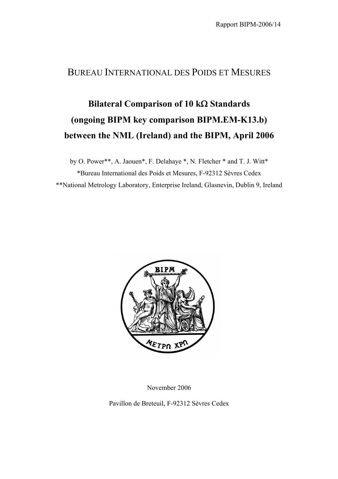## BUREAU INTERNATIONAL DES POIDS ET MESURES

## **Bilateral Comparison of 10 k**Ω **Standards (ongoing BIPM key comparison BIPM.EM-K13.b) between the NML (Ireland) and the BIPM, April 2006**

by O. Power\*\*, A. Jaouen\*, F. Delahaye \*, N. Fletcher \* and T. J. Witt\* \*Bureau International des Poids et Mesures, F-92312 Sèvres Cedex \*\*National Metrology Laboratory, Enterprise Ireland, Glasnevin, Dublin 9, Ireland



November 2006

Pavillon de Breteuil, F-92312 Sèvres Cedex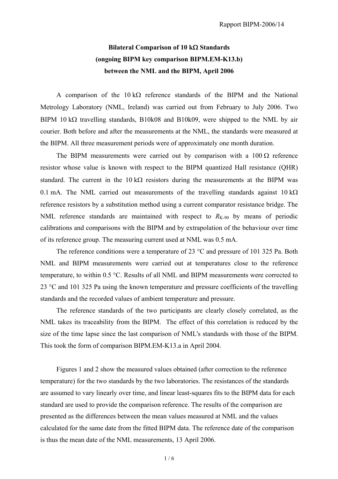## **Bilateral Comparison of 10 k**Ω **Standards (ongoing BIPM key comparison BIPM.EM-K13.b) between the NML and the BIPM, April 2006**

A comparison of the  $10 \text{ k}\Omega$  reference standards of the BIPM and the National Metrology Laboratory (NML, Ireland) was carried out from February to July 2006. Two BIPM 10 k $\Omega$  travelling standards, B10k08 and B10k09, were shipped to the NML by air courier. Both before and after the measurements at the NML, the standards were measured at the BIPM. All three measurement periods were of approximately one month duration.

The BIPM measurements were carried out by comparison with a  $100 \Omega$  reference resistor whose value is known with respect to the BIPM quantized Hall resistance (QHR) standard. The current in the  $10 \text{ k}\Omega$  resistors during the measurements at the BIPM was 0.1 mA. The NML carried out measurements of the travelling standards against  $10 \text{ k}\Omega$ reference resistors by a substitution method using a current comparator resistance bridge. The NML reference standards are maintained with respect to  $R_{K-90}$  by means of periodic calibrations and comparisons with the BIPM and by extrapolation of the behaviour over time of its reference group. The measuring current used at NML was 0.5 mA.

The reference conditions were a temperature of 23 °C and pressure of 101 325 Pa. Both NML and BIPM measurements were carried out at temperatures close to the reference temperature, to within 0.5 °C. Results of all NML and BIPM measurements were corrected to 23 °C and 101 325 Pa using the known temperature and pressure coefficients of the travelling standards and the recorded values of ambient temperature and pressure.

The reference standards of the two participants are clearly closely correlated, as the NML takes its traceability from the BIPM. The effect of this correlation is reduced by the size of the time lapse since the last comparison of NML's standards with those of the BIPM. This took the form of comparison BIPM.EM-K13.a in April 2004.

Figures 1 and 2 show the measured values obtained (after correction to the reference temperature) for the two standards by the two laboratories. The resistances of the standards are assumed to vary linearly over time, and linear least-squares fits to the BIPM data for each standard are used to provide the comparison reference. The results of the comparison are presented as the differences between the mean values measured at NML and the values calculated for the same date from the fitted BIPM data. The reference date of the comparison is thus the mean date of the NML measurements, 13 April 2006.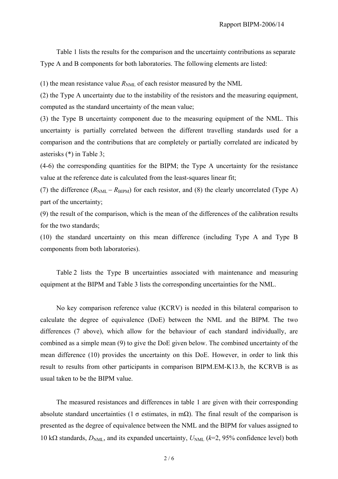Table 1 lists the results for the comparison and the uncertainty contributions as separate Type A and B components for both laboratories. The following elements are listed:

(1) the mean resistance value  $R_{NML}$  of each resistor measured by the NML

(2) the Type A uncertainty due to the instability of the resistors and the measuring equipment, computed as the standard uncertainty of the mean value;

(3) the Type B uncertainty component due to the measuring equipment of the NML. This uncertainty is partially correlated between the different travelling standards used for a comparison and the contributions that are completely or partially correlated are indicated by asterisks (\*) in Table 3;

(4-6) the corresponding quantities for the BIPM; the Type A uncertainty for the resistance value at the reference date is calculated from the least-squares linear fit;

(7) the difference  $(R_{NML} - R_{BIPM})$  for each resistor, and (8) the clearly uncorrelated (Type A) part of the uncertainty;

(9) the result of the comparison, which is the mean of the differences of the calibration results for the two standards;

(10) the standard uncertainty on this mean difference (including Type A and Type B components from both laboratories).

Table 2 lists the Type B uncertainties associated with maintenance and measuring equipment at the BIPM and Table 3 lists the corresponding uncertainties for the NML.

No key comparison reference value (KCRV) is needed in this bilateral comparison to calculate the degree of equivalence (DoE) between the NML and the BIPM. The two differences (7 above), which allow for the behaviour of each standard individually, are combined as a simple mean (9) to give the DoE given below. The combined uncertainty of the mean difference (10) provides the uncertainty on this DoE. However, in order to link this result to results from other participants in comparison BIPM.EM-K13.b, the KCRVB is as usual taken to be the BIPM value.

The measured resistances and differences in table 1 are given with their corresponding absolute standard uncertainties (1  $\sigma$  estimates, in mΩ). The final result of the comparison is presented as the degree of equivalence between the NML and the BIPM for values assigned to 10 kΩ standards, *D*<sub>NML</sub>, and its expanded uncertainty, *U*<sub>NML</sub> (*k*=2, 95% confidence level) both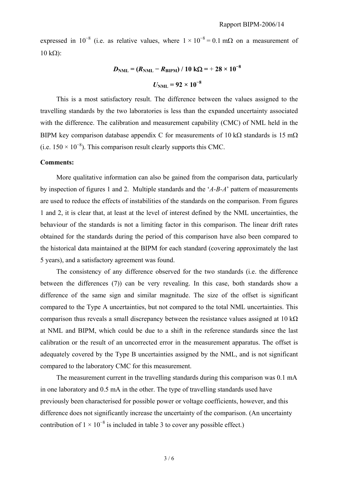expressed in 10<sup>-8</sup> (i.e. as relative values, where  $1 \times 10^{-8} = 0.1$  m $\Omega$  on a measurement of  $10 kΩ$ ):

$$
D_{\text{NML}} = (R_{\text{NML}} - R_{\text{BIPM}}) / 10 \text{ k}\Omega = +28 \times 10^{-8}
$$
  

$$
U_{\text{NML}} = 92 \times 10^{-8}
$$

This is a most satisfactory result. The difference between the values assigned to the travelling standards by the two laboratories is less than the expanded uncertainty associated with the difference. The calibration and measurement capability (CMC) of NML held in the BIPM key comparison database appendix C for measurements of 10 kΩ standards is 15 mΩ (i.e.  $150 \times 10^{-8}$ ). This comparison result clearly supports this CMC.

## **Comments:**

More qualitative information can also be gained from the comparison data, particularly by inspection of figures 1 and 2. Multiple standards and the '*A-B-A*' pattern of measurements are used to reduce the effects of instabilities of the standards on the comparison. From figures 1 and 2, it is clear that, at least at the level of interest defined by the NML uncertainties, the behaviour of the standards is not a limiting factor in this comparison. The linear drift rates obtained for the standards during the period of this comparison have also been compared to the historical data maintained at the BIPM for each standard (covering approximately the last 5 years), and a satisfactory agreement was found.

The consistency of any difference observed for the two standards (i.e. the difference between the differences (7)) can be very revealing. In this case, both standards show a difference of the same sign and similar magnitude. The size of the offset is significant compared to the Type A uncertainties, but not compared to the total NML uncertainties. This comparison thus reveals a small discrepancy between the resistance values assigned at  $10 \text{ k}\Omega$ at NML and BIPM, which could be due to a shift in the reference standards since the last calibration or the result of an uncorrected error in the measurement apparatus. The offset is adequately covered by the Type B uncertainties assigned by the NML, and is not significant compared to the laboratory CMC for this measurement.

The measurement current in the travelling standards during this comparison was 0.1 mA in one laboratory and 0.5 mA in the other. The type of travelling standards used have previously been characterised for possible power or voltage coefficients, however, and this difference does not significantly increase the uncertainty of the comparison. (An uncertainty contribution of  $1 \times 10^{-8}$  is included in table 3 to cover any possible effect.)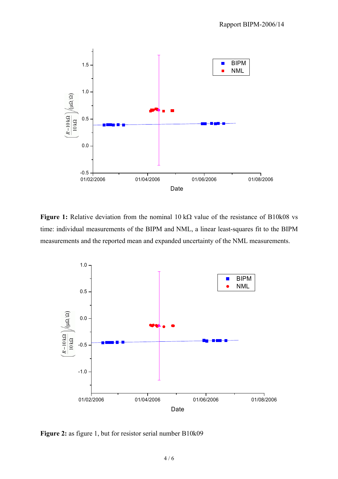

**Figure 1:** Relative deviation from the nominal 10 kΩ value of the resistance of B10k08 vs time: individual measurements of the BIPM and NML, a linear least-squares fit to the BIPM measurements and the reported mean and expanded uncertainty of the NML measurements.



**Figure 2:** as figure 1, but for resistor serial number B10k09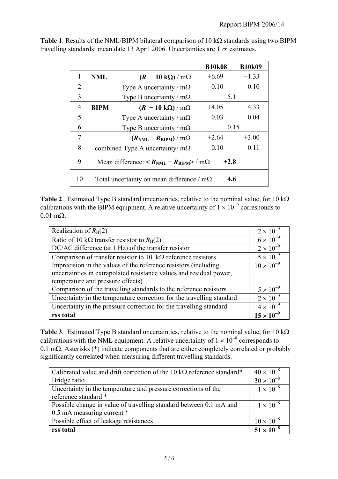|                |                                                                                                |                                                  | <b>B10k08</b> | <b>B10k09</b> |
|----------------|------------------------------------------------------------------------------------------------|--------------------------------------------------|---------------|---------------|
| 1              | <b>NML</b>                                                                                     | $(R - 10 \text{ k}\Omega) / \text{m}\Omega$      | $+6.69$       | $-1.33$       |
| $\overline{2}$ |                                                                                                | Type A uncertainty / $m\Omega$                   | 0.10          | 0.10          |
| 3              |                                                                                                | Type B uncertainty / $m\Omega$                   | 5.1           |               |
| 4              | <b>BIPM</b>                                                                                    | $(R - 10 \text{ k}\Omega)/m\Omega$               | $+4.05$       | $-4.33$       |
| 5              |                                                                                                | Type A uncertainty / $m\Omega$                   | 0.03          | 0.04          |
| 6              |                                                                                                | Type B uncertainty / $m\Omega$                   | 0.15          |               |
| 7              |                                                                                                | $(R_{\text{NML}} - R_{\text{BIPM}})/m\Omega$     | $+2.64$       | $+3.00$       |
| 8              |                                                                                                | combined Type A uncertainty/ $m\Omega$           | 0.10          | 0.11          |
| 9              | $+2.8$<br>Mean difference: $\langle R_{\text{NML}} - R_{\text{RIPM}} \rangle / \text{m}\Omega$ |                                                  |               |               |
| 10             |                                                                                                | Total uncertainty on mean difference / $m\Omega$ | 4.6           |               |

**Table 1**. Results of the NML/BIPM bilateral comparison of 10 kΩ standards using two BIPM travelling standards: mean date 13 April 2006. Uncertainties are  $1 \sigma$  estimates.

**Table 2**. Estimated Type B standard uncertainties, relative to the nominal value, for 10 kΩ calibrations with the BIPM equipment. A relative uncertainty of  $1 \times 10^{-9}$  corresponds to 0.01 mΩ.

| Realization of $R_H(2)$                                               | $2 \times 10^{-9}$  |
|-----------------------------------------------------------------------|---------------------|
| Ratio of 10 k $\Omega$ transfer resistor to $R_H(2)$                  | $6 \times 10^{-9}$  |
| DC/AC difference (at 1 Hz) of the transfer resistor                   | $2 \times 10^{-9}$  |
| Comparison of transfer resistor to 10 $k\Omega$ reference resistors   | $5 \times 10^{-9}$  |
| Imprecision in the values of the reference resistors (including       | $10 \times 10^{-9}$ |
| uncertainties in extrapolated resistance values and residual power,   |                     |
| temperature and pressure effects)                                     |                     |
| Comparison of the travelling standards to the reference resistors     | $5 \times 10^{-9}$  |
| Uncertainty in the temperature correction for the travelling standard | $2 \times 10^{-9}$  |
| Uncertainty in the pressure correction for the travelling standard    | $4 \times 10^{-9}$  |
| rss total                                                             | $15 \times 10^{-9}$ |

**Table 3**. Estimated Type B standard uncertainties, relative to the nominal value, for 10 kΩ calibrations with the NML equipment. A relative uncertainty of  $1 \times 10^{-8}$  corresponds to 0.1 mΩ. Asterisks (\*) indicate components that are either completely correlated or probably significantly correlated when measuring different travelling standards.

| Calibrated value and drift correction of the 10 k $\Omega$ reference standard* | $40 \times 10^{-8}$ |
|--------------------------------------------------------------------------------|---------------------|
| Bridge ratio                                                                   | $30 \times 10^{-8}$ |
| Uncertainty in the temperature and pressure corrections of the                 | $1 \times 10^{-8}$  |
| reference standard *                                                           |                     |
| Possible change in value of travelling standard between 0.1 mA and             | $1 \times 10^{-8}$  |
| 0.5 mA measuring current *                                                     |                     |
| Possible effect of leakage resistances                                         | $10 \times 10^{-8}$ |
| rss total                                                                      | $51 \times 10^{-8}$ |